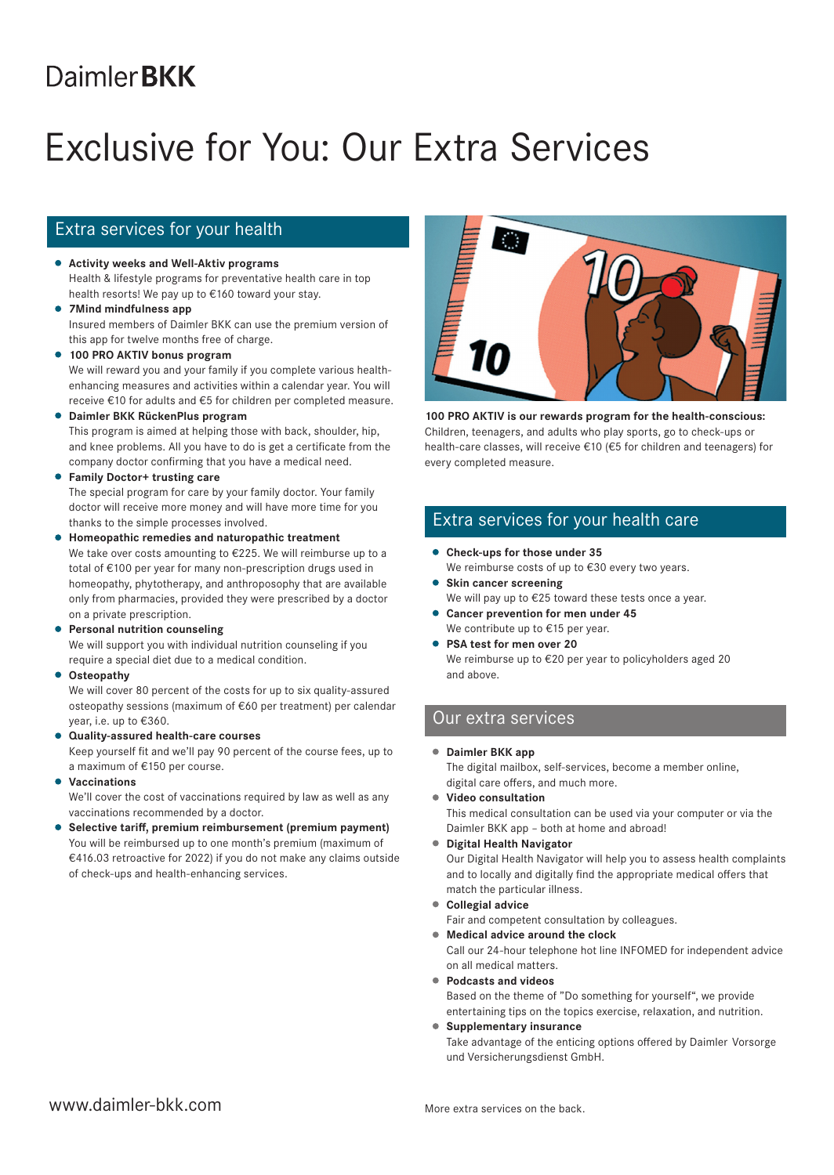# **DaimlerBKK**

# Exclusive for You: Our Extra Services

## Extra services for your health

- **Activity weeks and Well-Aktiv programs** Health & lifestyle programs for preventative health care in top health resorts! We pay up to €160 toward your stay.
- **7Mind mindfulness app** Insured members of Daimler BKK can use the premium version of this app for twelve months free of charge.
- **100 PRO AKTIV bonus program** We will reward you and your family if you complete various healthenhancing measures and activities within a calendar year. You will receive €10 for adults and €5 for children per completed measure.
- **Daimler BKK RückenPlus program** This program is aimed at helping those with back, shoulder, hip, and knee problems. All you have to do is get a certificate from the company doctor confirming that you have a medical need.
- **Family Doctor+ trusting care**

The special program for care by your family doctor. Your family doctor will receive more money and will have more time for you thanks to the simple processes involved.

- **Homeopathic remedies and naturopathic treatment** We take over costs amounting to €225. We will reimburse up to a total of €100 per year for many non-prescription drugs used in homeopathy, phytotherapy, and anthroposophy that are available only from pharmacies, provided they were prescribed by a doctor on a private prescription.
- **Personal nutrition counseling**

We will support you with individual nutrition counseling if you require a special diet due to a medical condition.

### **Osteopathy**

We will cover 80 percent of the costs for up to six quality-assured osteopathy sessions (maximum of €60 per treatment) per calendar year, i.e. up to €360.

**Quality-assured health-care courses** Keep yourself fit and we'll pay 90 percent of the course fees, up to

a maximum of €150 per course.

**Vaccinations**

We'll cover the cost of vaccinations required by law as well as any vaccinations recommended by a doctor.

**Selective tariff, premium reimbursement (premium payment)** You will be reimbursed up to one month's premium (maximum of €416.03 retroactive for 2022) if you do not make any claims outside of check-ups and health-enhancing services.



**100 PRO AKTIV is our rewards program for the health-conscious:**  Children, teenagers, and adults who play sports, go to check-ups or health-care classes, will receive €10 (€5 for children and teenagers) for every completed measure.

### Extra services for your health care

- **Check-ups for those under 35** We reimburse costs of up to €30 every two years.
- **Skin cancer screening** 
	- We will pay up to €25 toward these tests once a year.
- **Cancer prevention for men under 45** We contribute up to €15 per year.
- **PSA test for men over 20** We reimburse up to €20 per year to policyholders aged 20 and above.

### Our extra services

**Daimler BKK app**

The digital mailbox, self-services, become a member online, digital care offers, and much more.

**Video consultation**

This medical consultation can be used via your computer or via the Daimler BKK app – both at home and abroad!

**Digital Health Navigator**

Our Digital Health Navigator will help you to assess health complaints and to locally and digitally find the appropriate medical offers that match the particular illness.

**Collegial advice**

Fair and competent consultation by colleagues.

**Medical advice around the clock**

Call our 24-hour telephone hot line INFOMED for independent advice on all medical matters.

- **Podcasts and videos** Based on the theme of "Do something for yourself", we provide entertaining tips on the topics exercise, relaxation, and nutrition.
- **Supplementary insurance**

Take advantage of the enticing options offered by Daimler Vorsorge und Versicherungsdienst GmbH.